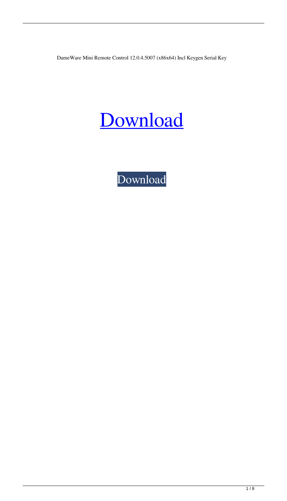DameWare Mini Remote Control 12.0.4.5007 (x86x64) Incl Keygen Serial Key

## [Download](http://evacdir.com/arrests.cataphiles/ZG93bmxvYWR8SjVGTWpaNU5YeDhNVFkxTWpRMk16QTFNSHg4TWpVM05IeDhLRTBwSUhKbFlXUXRZbXh2WnlCYlJtRnpkQ0JIUlU1ZA/water_sanita/chanda/RGFtZVdhcmUgTWluaSBSZW1vdGUgQ29udHJvbCAxMi4wLjQuNTAwNyAoeDg2eDY0KSBJbmNsIEtleWdlbiBTZXJpYWwgS2V5RGF/usfa.converts)

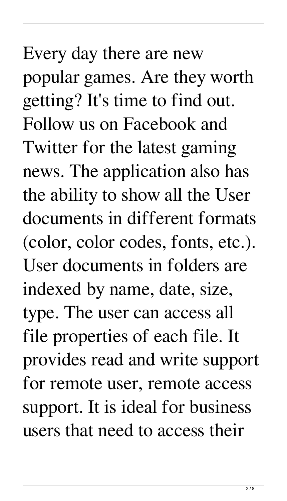## Every day there are new popular games. Are they worth getting? It's time to find out. Follow us on Facebook and Twitter for the latest gaming news. The application also has the ability to show all the User documents in different formats (color, color codes, fonts, etc.). User documents in folders are indexed by name, date, size, type. The user can access all file properties of each file. It provides read and write support for remote user, remote access support. It is ideal for business users that need to access their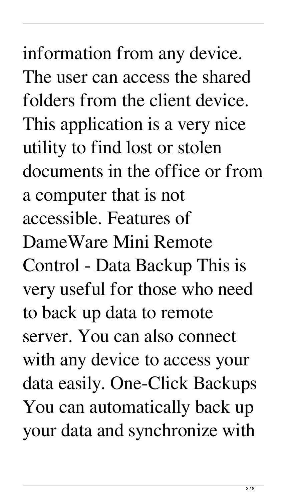information from any device. The user can access the shared folders from the client device. This application is a very nice utility to find lost or stolen documents in the office or from a computer that is not accessible. Features of DameWare Mini Remote Control - Data Backup This is very useful for those who need to back up data to remote server. You can also connect with any device to access your data easily. One-Click Backups You can automatically back up your data and synchronize with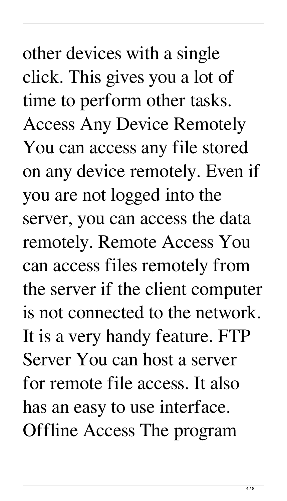other devices with a single click. This gives you a lot of time to perform other tasks. Access Any Device Remotely You can access any file stored on any device remotely. Even if you are not logged into the server, you can access the data remotely. Remote Access You can access files remotely from the server if the client computer is not connected to the network. It is a very handy feature. FTP Server You can host a server for remote file access. It also has an easy to use interface. Offline Access The program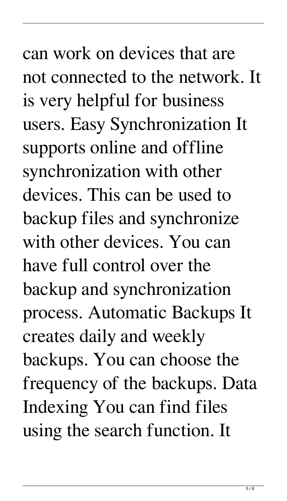can work on devices that are not connected to the network. It is very helpful for business users. Easy Synchronization It supports online and offline synchronization with other devices. This can be used to backup files and synchronize with other devices. You can have full control over the backup and synchronization process. Automatic Backups It creates daily and weekly backups. You can choose the frequency of the backups. Data Indexing You can find files using the search function. It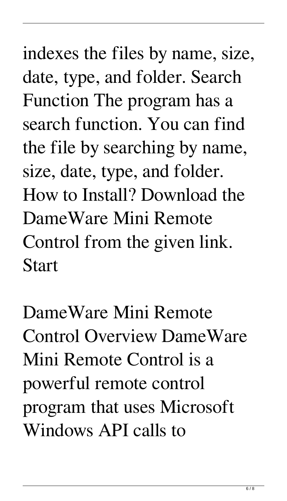## indexes the files by name, size, date, type, and folder. Search Function The program has a search function. You can find the file by searching by name, size, date, type, and folder. How to Install? Download the DameWare Mini Remote Control from the given link. Start

DameWare Mini Remote Control Overview DameWare Mini Remote Control is a powerful remote control program that uses Microsoft Windows API calls to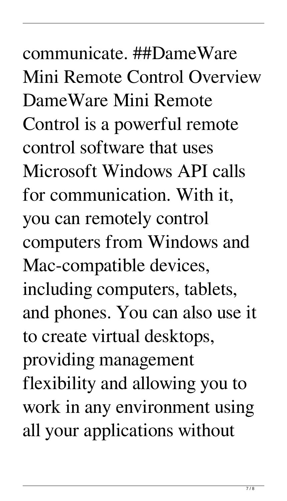communicate. ##DameWare Mini Remote Control Overview DameWare Mini Remote Control is a powerful remote control software that uses Microsoft Windows API calls for communication. With it, you can remotely control computers from Windows and Mac-compatible devices, including computers, tablets, and phones. You can also use it to create virtual desktops, providing management flexibility and allowing you to work in any environment using all your applications without